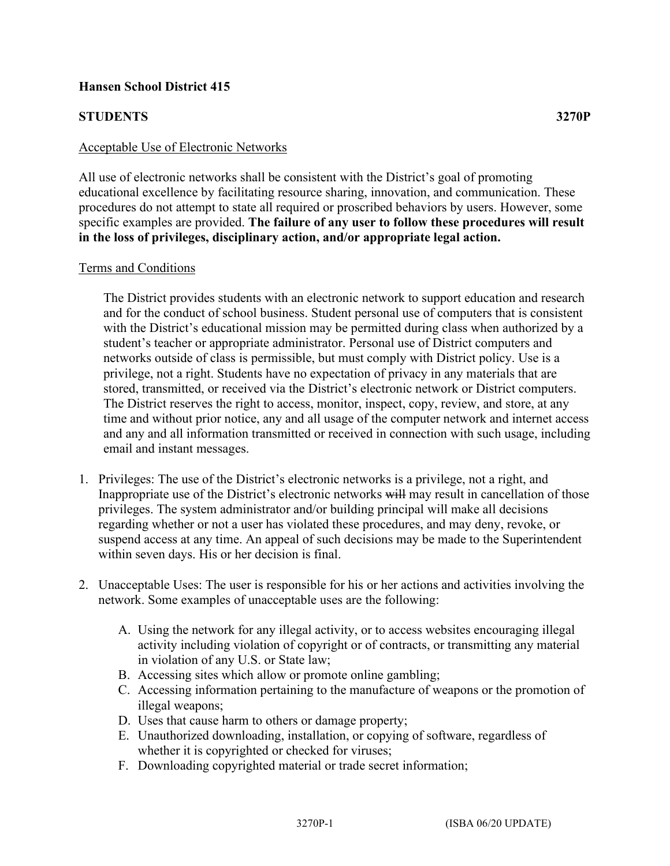## **Hansen School District 415**

## **STUDENTS 3270P**

#### Acceptable Use of Electronic Networks

All use of electronic networks shall be consistent with the District's goal of promoting educational excellence by facilitating resource sharing, innovation, and communication. These procedures do not attempt to state all required or proscribed behaviors by users. However, some specific examples are provided. **The failure of any user to follow these procedures will result in the loss of privileges, disciplinary action, and/or appropriate legal action.**

#### Terms and Conditions

The District provides students with an electronic network to support education and research and for the conduct of school business. Student personal use of computers that is consistent with the District's educational mission may be permitted during class when authorized by a student's teacher or appropriate administrator. Personal use of District computers and networks outside of class is permissible, but must comply with District policy. Use is a privilege, not a right. Students have no expectation of privacy in any materials that are stored, transmitted, or received via the District's electronic network or District computers. The District reserves the right to access, monitor, inspect, copy, review, and store, at any time and without prior notice, any and all usage of the computer network and internet access and any and all information transmitted or received in connection with such usage, including email and instant messages.

- 1. Privileges: The use of the District's electronic networks is a privilege, not a right, and Inappropriate use of the District's electronic networks will may result in cancellation of those privileges. The system administrator and/or building principal will make all decisions regarding whether or not a user has violated these procedures, and may deny, revoke, or suspend access at any time. An appeal of such decisions may be made to the Superintendent within seven days. His or her decision is final.
- 2. Unacceptable Uses: The user is responsible for his or her actions and activities involving the network. Some examples of unacceptable uses are the following:
	- A. Using the network for any illegal activity, or to access websites encouraging illegal activity including violation of copyright or of contracts, or transmitting any material in violation of any U.S. or State law;
	- B. Accessing sites which allow or promote online gambling;
	- C. Accessing information pertaining to the manufacture of weapons or the promotion of illegal weapons;
	- D. Uses that cause harm to others or damage property;
	- E. Unauthorized downloading, installation, or copying of software, regardless of whether it is copyrighted or checked for viruses;
	- F. Downloading copyrighted material or trade secret information;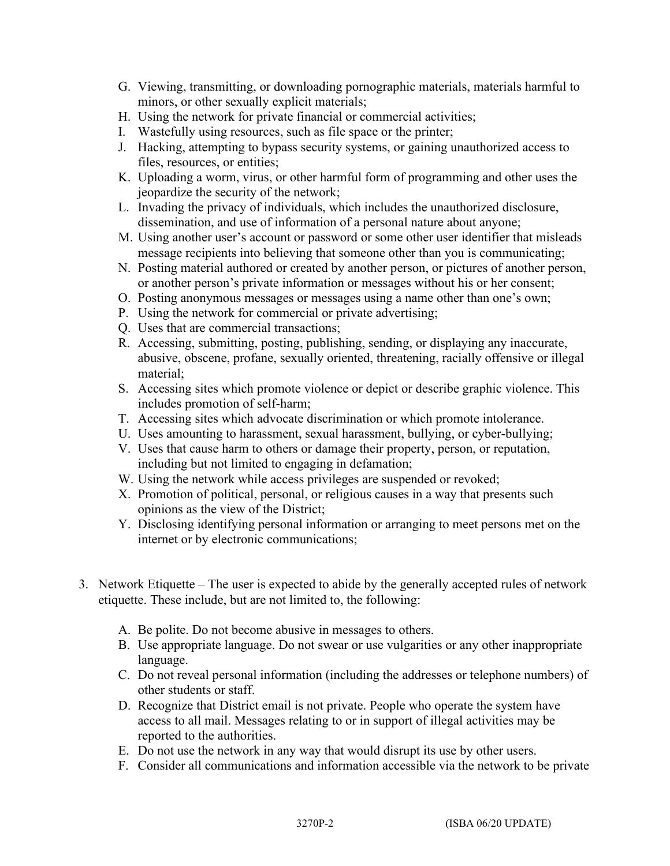- G. Viewing, transmitting, or downloading pornographic materials, materials harmful to minors, or other sexually explicit materials;
- H. Using the network for private financial or commercial activities;
- I. Wastefully using resources, such as file space or the printer;
- J. Hacking, attempting to bypass security systems, or gaining unauthorized access to files, resources, or entities;
- K. Uploading a worm, virus, or other harmful form of programming and other uses the jeopardize the security of the network;
- L. Invading the privacy of individuals, which includes the unauthorized disclosure, dissemination, and use of information of a personal nature about anyone;
- M. Using another user's account or password or some other user identifier that misleads message recipients into believing that someone other than you is communicating;
- N. Posting material authored or created by another person, or pictures of another person, or another person's private information or messages without his or her consent;
- O. Posting anonymous messages or messages using a name other than one's own;
- P. Using the network for commercial or private advertising;
- Q. Uses that are commercial transactions;
- R. Accessing, submitting, posting, publishing, sending, or displaying any inaccurate, abusive, obscene, profane, sexually oriented, threatening, racially offensive or illegal material;
- S. Accessing sites which promote violence or depict or describe graphic violence. This includes promotion of self-harm;
- T. Accessing sites which advocate discrimination or which promote intolerance.
- U. Uses amounting to harassment, sexual harassment, bullying, or cyber-bullying;
- V. Uses that cause harm to others or damage their property, person, or reputation, including but not limited to engaging in defamation;
- W. Using the network while access privileges are suspended or revoked;
- X. Promotion of political, personal, or religious causes in a way that presents such opinions as the view of the District;
- Y. Disclosing identifying personal information or arranging to meet persons met on the internet or by electronic communications;
- 3. Network Etiquette The user is expected to abide by the generally accepted rules of network etiquette. These include, but are not limited to, the following:
	- A. Be polite. Do not become abusive in messages to others.
	- B. Use appropriate language. Do not swear or use vulgarities or any other inappropriate language.
	- C. Do not reveal personal information (including the addresses or telephone numbers) of other students or staff.
	- D. Recognize that District email is not private. People who operate the system have access to all mail. Messages relating to or in support of illegal activities may be reported to the authorities.
	- E. Do not use the network in any way that would disrupt its use by other users.
	- F. Consider all communications and information accessible via the network to be private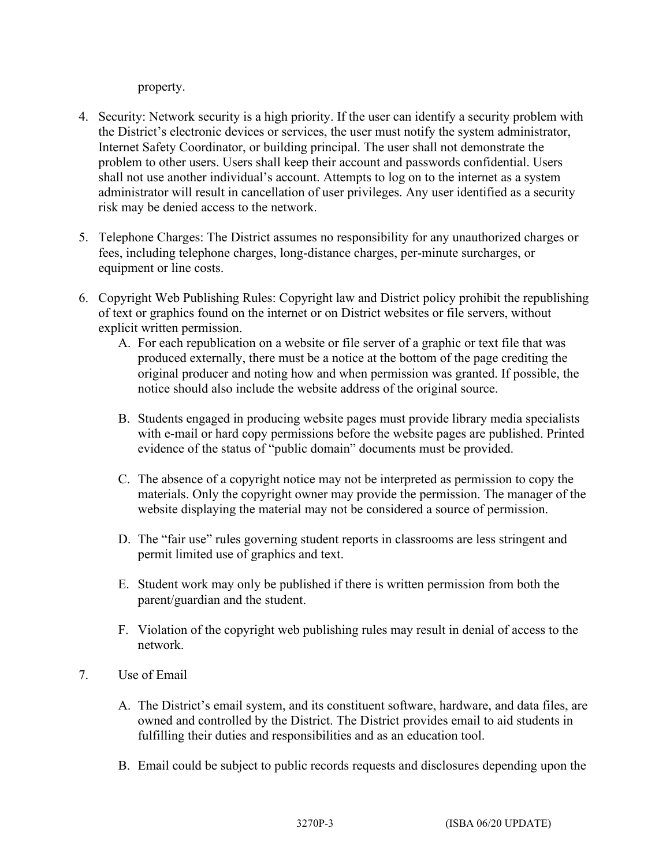property.

- 4. Security: Network security is a high priority. If the user can identify a security problem with the District's electronic devices or services, the user must notify the system administrator, Internet Safety Coordinator, or building principal. The user shall not demonstrate the problem to other users. Users shall keep their account and passwords confidential. Users shall not use another individual's account. Attempts to log on to the internet as a system administrator will result in cancellation of user privileges. Any user identified as a security risk may be denied access to the network.
- 5. Telephone Charges: The District assumes no responsibility for any unauthorized charges or fees, including telephone charges, long-distance charges, per-minute surcharges, or equipment or line costs.
- 6. Copyright Web Publishing Rules: Copyright law and District policy prohibit the republishing of text or graphics found on the internet or on District websites or file servers, without explicit written permission.
	- A. For each republication on a website or file server of a graphic or text file that was produced externally, there must be a notice at the bottom of the page crediting the original producer and noting how and when permission was granted. If possible, the notice should also include the website address of the original source.
	- B. Students engaged in producing website pages must provide library media specialists with e-mail or hard copy permissions before the website pages are published. Printed evidence of the status of "public domain" documents must be provided.
	- C. The absence of a copyright notice may not be interpreted as permission to copy the materials. Only the copyright owner may provide the permission. The manager of the website displaying the material may not be considered a source of permission.
	- D. The "fair use" rules governing student reports in classrooms are less stringent and permit limited use of graphics and text.
	- E. Student work may only be published if there is written permission from both the parent/guardian and the student.
	- F. Violation of the copyright web publishing rules may result in denial of access to the network.
- 7. Use of Email
	- A. The District's email system, and its constituent software, hardware, and data files, are owned and controlled by the District. The District provides email to aid students in fulfilling their duties and responsibilities and as an education tool.
	- B. Email could be subject to public records requests and disclosures depending upon the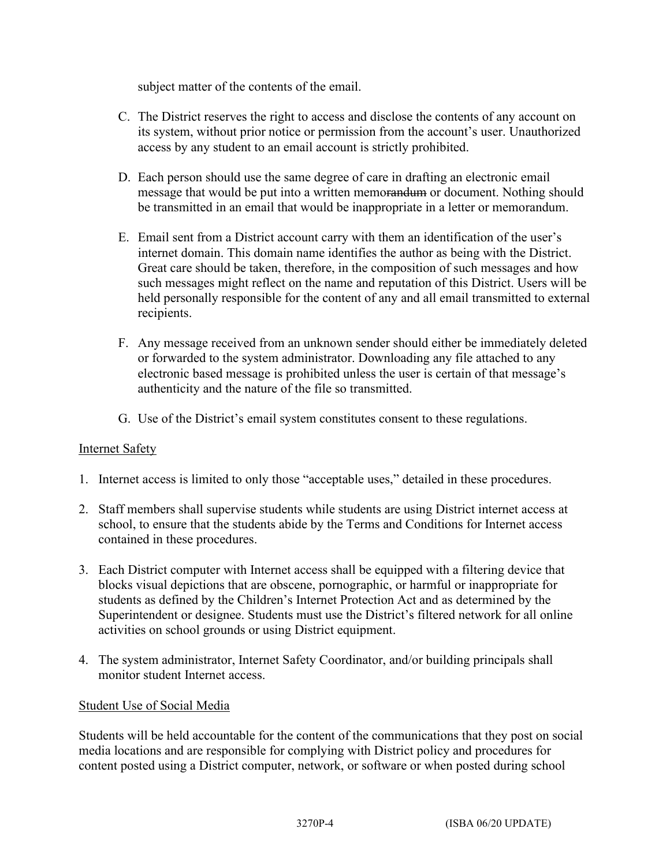subject matter of the contents of the email.

- C. The District reserves the right to access and disclose the contents of any account on its system, without prior notice or permission from the account's user. Unauthorized access by any student to an email account is strictly prohibited.
- D. Each person should use the same degree of care in drafting an electronic email message that would be put into a written memorandum or document. Nothing should be transmitted in an email that would be inappropriate in a letter or memorandum.
- E. Email sent from a District account carry with them an identification of the user's internet domain. This domain name identifies the author as being with the District. Great care should be taken, therefore, in the composition of such messages and how such messages might reflect on the name and reputation of this District. Users will be held personally responsible for the content of any and all email transmitted to external recipients.
- F. Any message received from an unknown sender should either be immediately deleted or forwarded to the system administrator. Downloading any file attached to any electronic based message is prohibited unless the user is certain of that message's authenticity and the nature of the file so transmitted.
- G. Use of the District's email system constitutes consent to these regulations.

# Internet Safety

- 1. Internet access is limited to only those "acceptable uses," detailed in these procedures.
- 2. Staff members shall supervise students while students are using District internet access at school, to ensure that the students abide by the Terms and Conditions for Internet access contained in these procedures.
- 3. Each District computer with Internet access shall be equipped with a filtering device that blocks visual depictions that are obscene, pornographic, or harmful or inappropriate for students as defined by the Children's Internet Protection Act and as determined by the Superintendent or designee. Students must use the District's filtered network for all online activities on school grounds or using District equipment.
- 4. The system administrator, Internet Safety Coordinator, and/or building principals shall monitor student Internet access.

### Student Use of Social Media

Students will be held accountable for the content of the communications that they post on social media locations and are responsible for complying with District policy and procedures for content posted using a District computer, network, or software or when posted during school